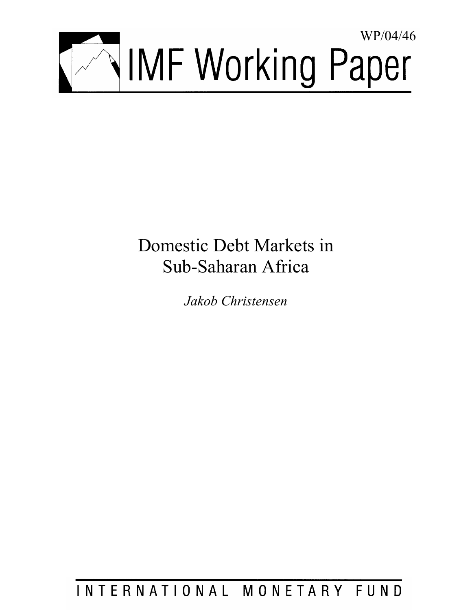

# Domestic Debt Markets in Sub-Saharan Africa

*Jakob Christensen* 

INTERNATIONAL MONETARY FUND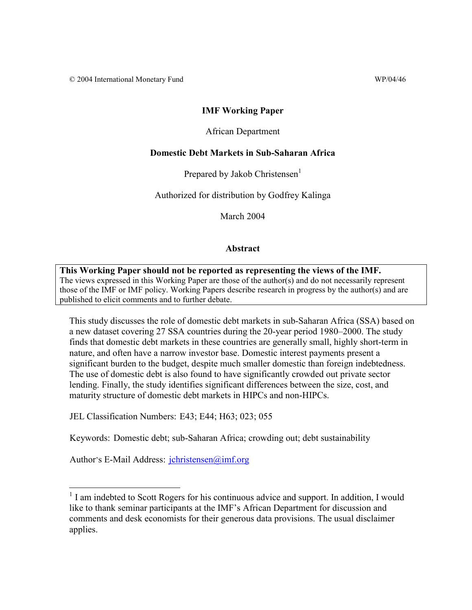© 2004 International Monetary Fund WP/04/46

#### **IMF Working Paper**

#### African Department

#### **Domestic Debt Markets in Sub-Saharan Africa**

Prepared by Jakob Christensen<sup>1</sup>

Authorized for distribution by Godfrey Kalinga

March 2004

#### **Abstract**

**This Working Paper should not be reported as representing the views of the IMF.** The views expressed in this Working Paper are those of the author(s) and do not necessarily represent those of the IMF or IMF policy. Working Papers describe research in progress by the author(s) and are published to elicit comments and to further debate.

This study discusses the role of domestic debt markets in sub-Saharan Africa (SSA) based on a new dataset covering 27 SSA countries during the 20-year period 1980–2000. The study finds that domestic debt markets in these countries are generally small, highly short-term in nature, and often have a narrow investor base. Domestic interest payments present a significant burden to the budget, despite much smaller domestic than foreign indebtedness. The use of domestic debt is also found to have significantly crowded out private sector lending. Finally, the study identifies significant differences between the size, cost, and maturity structure of domestic debt markets in HIPCs and non-HIPCs.

JEL Classification Numbers: E43; E44; H63; 023; 055

Keywords: Domestic debt; sub-Saharan Africa; crowding out; debt sustainability

Author's E-Mail Address: jchristensen@imf.org

 $\overline{a}$ 

<sup>&</sup>lt;sup>1</sup> I am indebted to Scott Rogers for his continuous advice and support. In addition, I would like to thank seminar participants at the IMF's African Department for discussion and comments and desk economists for their generous data provisions. The usual disclaimer applies.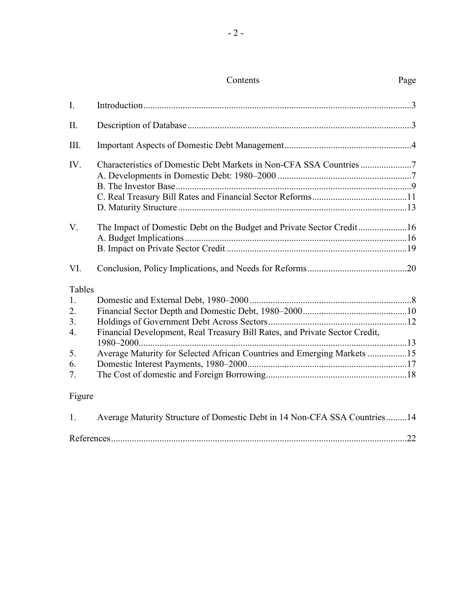## Contents Page

| $\mathbf{I}$ . |                                                                             |  |
|----------------|-----------------------------------------------------------------------------|--|
| $\prod$        |                                                                             |  |
| Ш.             |                                                                             |  |
| IV.            | Characteristics of Domestic Debt Markets in Non-CFA SSA Countries 7         |  |
|                |                                                                             |  |
| V.             |                                                                             |  |
| VI.            |                                                                             |  |
| Tables         |                                                                             |  |
| 1.             |                                                                             |  |
| 2.             |                                                                             |  |
| 3.             |                                                                             |  |
| 4.             | Financial Development, Real Treasury Bill Rates, and Private Sector Credit, |  |
| 5.             | Average Maturity for Selected African Countries and Emerging Markets 15     |  |
| 6.             |                                                                             |  |
| 7.             |                                                                             |  |
| Figure         |                                                                             |  |
| $\mathbf{1}$ . | Average Maturity Structure of Domestic Debt in 14 Non-CFA SSA Countries14   |  |

| Refer |  |
|-------|--|
|       |  |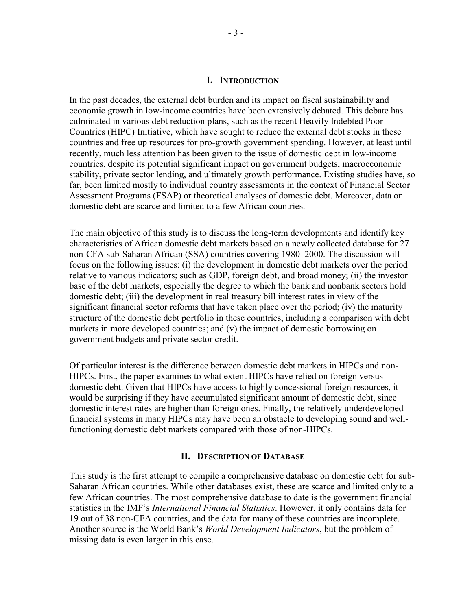#### **I. INTRODUCTION**

In the past decades, the external debt burden and its impact on fiscal sustainability and economic growth in low-income countries have been extensively debated. This debate has culminated in various debt reduction plans, such as the recent Heavily Indebted Poor Countries (HIPC) Initiative, which have sought to reduce the external debt stocks in these countries and free up resources for pro-growth government spending. However, at least until recently, much less attention has been given to the issue of domestic debt in low-income countries, despite its potential significant impact on government budgets, macroeconomic stability, private sector lending, and ultimately growth performance. Existing studies have, so far, been limited mostly to individual country assessments in the context of Financial Sector Assessment Programs (FSAP) or theoretical analyses of domestic debt. Moreover, data on domestic debt are scarce and limited to a few African countries.

The main objective of this study is to discuss the long-term developments and identify key characteristics of African domestic debt markets based on a newly collected database for 27 non-CFA sub-Saharan African (SSA) countries covering 1980–2000. The discussion will focus on the following issues: (i) the development in domestic debt markets over the period relative to various indicators; such as GDP, foreign debt, and broad money; (ii) the investor base of the debt markets, especially the degree to which the bank and nonbank sectors hold domestic debt; (iii) the development in real treasury bill interest rates in view of the significant financial sector reforms that have taken place over the period; (iv) the maturity structure of the domestic debt portfolio in these countries, including a comparison with debt markets in more developed countries; and (v) the impact of domestic borrowing on government budgets and private sector credit.

Of particular interest is the difference between domestic debt markets in HIPCs and non-HIPCs. First, the paper examines to what extent HIPCs have relied on foreign versus domestic debt. Given that HIPCs have access to highly concessional foreign resources, it would be surprising if they have accumulated significant amount of domestic debt, since domestic interest rates are higher than foreign ones. Finally, the relatively underdeveloped financial systems in many HIPCs may have been an obstacle to developing sound and wellfunctioning domestic debt markets compared with those of non-HIPCs.

#### **II. DESCRIPTION OF DATABASE**

This study is the first attempt to compile a comprehensive database on domestic debt for sub-Saharan African countries. While other databases exist, these are scarce and limited only to a few African countries. The most comprehensive database to date is the government financial statistics in the IMF's *International Financial Statistics*. However, it only contains data for 19 out of 38 non-CFA countries, and the data for many of these countries are incomplete. Another source is the World Bank's *World Development Indicators*, but the problem of missing data is even larger in this case.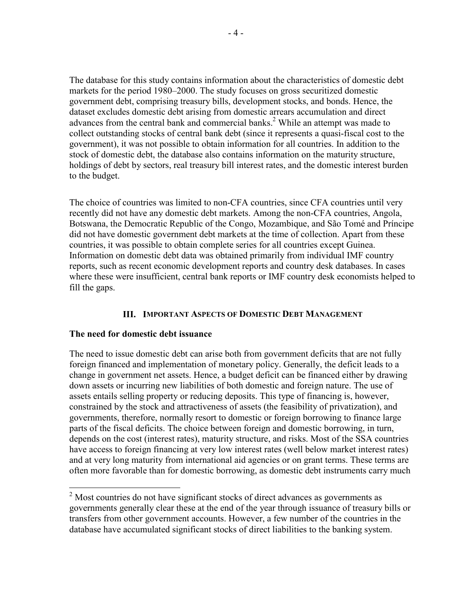The database for this study contains information about the characteristics of domestic debt markets for the period 1980–2000. The study focuses on gross securitized domestic government debt, comprising treasury bills, development stocks, and bonds. Hence, the dataset excludes domestic debt arising from domestic arrears accumulation and direct advances from the central bank and commercial banks.<sup>2</sup> While an attempt was made to collect outstanding stocks of central bank debt (since it represents a quasi-fiscal cost to the government), it was not possible to obtain information for all countries. In addition to the stock of domestic debt, the database also contains information on the maturity structure, holdings of debt by sectors, real treasury bill interest rates, and the domestic interest burden to the budget.

The choice of countries was limited to non-CFA countries, since CFA countries until very recently did not have any domestic debt markets. Among the non-CFA countries, Angola, Botswana, the Democratic Republic of the Congo, Mozambique, and São Tomé and Príncipe did not have domestic government debt markets at the time of collection. Apart from these countries, it was possible to obtain complete series for all countries except Guinea. Information on domestic debt data was obtained primarily from individual IMF country reports, such as recent economic development reports and country desk databases. In cases where these were insufficient, central bank reports or IMF country desk economists helped to fill the gaps.

## **III. IMPORTANT ASPECTS OF DOMESTIC DEBT MANAGEMENT**

## **The need for domestic debt issuance**

<u>.</u>

The need to issue domestic debt can arise both from government deficits that are not fully foreign financed and implementation of monetary policy. Generally, the deficit leads to a change in government net assets. Hence, a budget deficit can be financed either by drawing down assets or incurring new liabilities of both domestic and foreign nature. The use of assets entails selling property or reducing deposits. This type of financing is, however, constrained by the stock and attractiveness of assets (the feasibility of privatization), and governments, therefore, normally resort to domestic or foreign borrowing to finance large parts of the fiscal deficits. The choice between foreign and domestic borrowing, in turn, depends on the cost (interest rates), maturity structure, and risks. Most of the SSA countries have access to foreign financing at very low interest rates (well below market interest rates) and at very long maturity from international aid agencies or on grant terms. These terms are often more favorable than for domestic borrowing, as domestic debt instruments carry much

 $2^{2}$  Most countries do not have significant stocks of direct advances as governments as governments generally clear these at the end of the year through issuance of treasury bills or transfers from other government accounts. However, a few number of the countries in the database have accumulated significant stocks of direct liabilities to the banking system.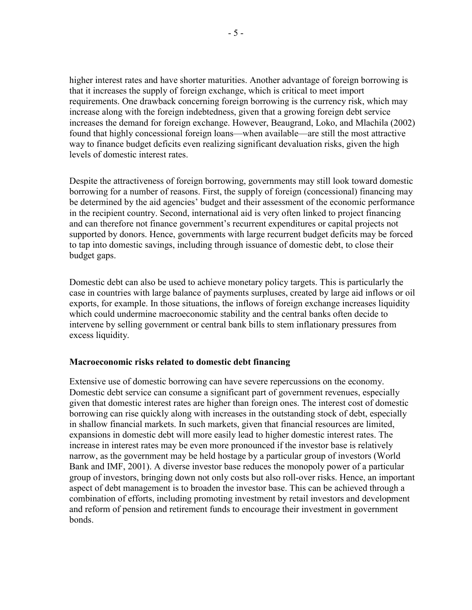higher interest rates and have shorter maturities. Another advantage of foreign borrowing is that it increases the supply of foreign exchange, which is critical to meet import requirements. One drawback concerning foreign borrowing is the currency risk, which may increase along with the foreign indebtedness, given that a growing foreign debt service increases the demand for foreign exchange. However, Beaugrand, Loko, and Mlachila (2002) found that highly concessional foreign loans—when available—are still the most attractive way to finance budget deficits even realizing significant devaluation risks, given the high levels of domestic interest rates.

Despite the attractiveness of foreign borrowing, governments may still look toward domestic borrowing for a number of reasons. First, the supply of foreign (concessional) financing may be determined by the aid agencies' budget and their assessment of the economic performance in the recipient country. Second, international aid is very often linked to project financing and can therefore not finance government's recurrent expenditures or capital projects not supported by donors. Hence, governments with large recurrent budget deficits may be forced to tap into domestic savings, including through issuance of domestic debt, to close their budget gaps.

Domestic debt can also be used to achieve monetary policy targets. This is particularly the case in countries with large balance of payments surpluses, created by large aid inflows or oil exports, for example. In those situations, the inflows of foreign exchange increases liquidity which could undermine macroeconomic stability and the central banks often decide to intervene by selling government or central bank bills to stem inflationary pressures from excess liquidity.

## **Macroeconomic risks related to domestic debt financing**

Extensive use of domestic borrowing can have severe repercussions on the economy. Domestic debt service can consume a significant part of government revenues, especially given that domestic interest rates are higher than foreign ones. The interest cost of domestic borrowing can rise quickly along with increases in the outstanding stock of debt, especially in shallow financial markets. In such markets, given that financial resources are limited, expansions in domestic debt will more easily lead to higher domestic interest rates. The increase in interest rates may be even more pronounced if the investor base is relatively narrow, as the government may be held hostage by a particular group of investors (World Bank and IMF, 2001). A diverse investor base reduces the monopoly power of a particular group of investors, bringing down not only costs but also roll-over risks. Hence, an important aspect of debt management is to broaden the investor base. This can be achieved through a combination of efforts, including promoting investment by retail investors and development and reform of pension and retirement funds to encourage their investment in government bonds.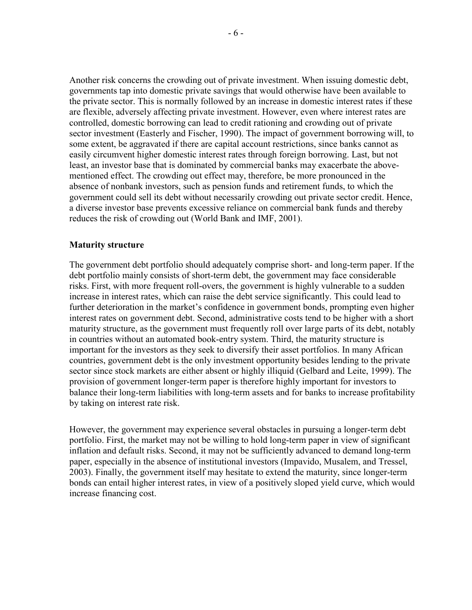Another risk concerns the crowding out of private investment. When issuing domestic debt, governments tap into domestic private savings that would otherwise have been available to the private sector. This is normally followed by an increase in domestic interest rates if these are flexible, adversely affecting private investment. However, even where interest rates are controlled, domestic borrowing can lead to credit rationing and crowding out of private sector investment (Easterly and Fischer, 1990). The impact of government borrowing will, to some extent, be aggravated if there are capital account restrictions, since banks cannot as easily circumvent higher domestic interest rates through foreign borrowing. Last, but not least, an investor base that is dominated by commercial banks may exacerbate the abovementioned effect. The crowding out effect may, therefore, be more pronounced in the absence of nonbank investors, such as pension funds and retirement funds, to which the government could sell its debt without necessarily crowding out private sector credit. Hence, a diverse investor base prevents excessive reliance on commercial bank funds and thereby reduces the risk of crowding out (World Bank and IMF, 2001).

#### **Maturity structure**

The government debt portfolio should adequately comprise short- and long-term paper. If the debt portfolio mainly consists of short-term debt, the government may face considerable risks. First, with more frequent roll-overs, the government is highly vulnerable to a sudden increase in interest rates, which can raise the debt service significantly. This could lead to further deterioration in the market's confidence in government bonds, prompting even higher interest rates on government debt. Second, administrative costs tend to be higher with a short maturity structure, as the government must frequently roll over large parts of its debt, notably in countries without an automated book-entry system. Third, the maturity structure is important for the investors as they seek to diversify their asset portfolios. In many African countries, government debt is the only investment opportunity besides lending to the private sector since stock markets are either absent or highly illiquid (Gelbard and Leite, 1999). The provision of government longer-term paper is therefore highly important for investors to balance their long-term liabilities with long-term assets and for banks to increase profitability by taking on interest rate risk.

However, the government may experience several obstacles in pursuing a longer-term debt portfolio. First, the market may not be willing to hold long-term paper in view of significant inflation and default risks. Second, it may not be sufficiently advanced to demand long-term paper, especially in the absence of institutional investors (Impavido, Musalem, and Tressel, 2003). Finally, the government itself may hesitate to extend the maturity, since longer-term bonds can entail higher interest rates, in view of a positively sloped yield curve, which would increase financing cost.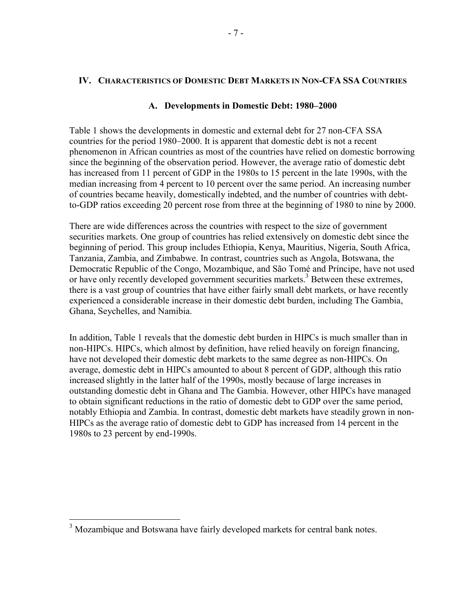## **IV. CHARACTERISTICS OF DOMESTIC DEBT MARKETS IN NON-CFA SSA COUNTRIES**

## **A. Developments in Domestic Debt: 1980–2000**

Table 1 shows the developments in domestic and external debt for 27 non-CFA SSA countries for the period 1980–2000. It is apparent that domestic debt is not a recent phenomenon in African countries as most of the countries have relied on domestic borrowing since the beginning of the observation period. However, the average ratio of domestic debt has increased from 11 percent of GDP in the 1980s to 15 percent in the late 1990s, with the median increasing from 4 percent to 10 percent over the same period. An increasing number of countries became heavily, domestically indebted, and the number of countries with debtto-GDP ratios exceeding 20 percent rose from three at the beginning of 1980 to nine by 2000.

There are wide differences across the countries with respect to the size of government securities markets. One group of countries has relied extensively on domestic debt since the beginning of period. This group includes Ethiopia, Kenya, Mauritius, Nigeria, South Africa, Tanzania, Zambia, and Zimbabwe. In contrast, countries such as Angola, Botswana, the Democratic Republic of the Congo, Mozambique, and São Tomé and Príncipe, have not used or have only recently developed government securities markets.<sup>3</sup> Between these extremes, there is a vast group of countries that have either fairly small debt markets, or have recently experienced a considerable increase in their domestic debt burden, including The Gambia, Ghana, Seychelles, and Namibia.

In addition, Table 1 reveals that the domestic debt burden in HIPCs is much smaller than in non-HIPCs. HIPCs, which almost by definition, have relied heavily on foreign financing, have not developed their domestic debt markets to the same degree as non-HIPCs. On average, domestic debt in HIPCs amounted to about 8 percent of GDP, although this ratio increased slightly in the latter half of the 1990s, mostly because of large increases in outstanding domestic debt in Ghana and The Gambia. However, other HIPCs have managed to obtain significant reductions in the ratio of domestic debt to GDP over the same period, notably Ethiopia and Zambia. In contrast, domestic debt markets have steadily grown in non-HIPCs as the average ratio of domestic debt to GDP has increased from 14 percent in the 1980s to 23 percent by end-1990s.

 $\overline{a}$ 

<sup>&</sup>lt;sup>3</sup> Mozambique and Botswana have fairly developed markets for central bank notes.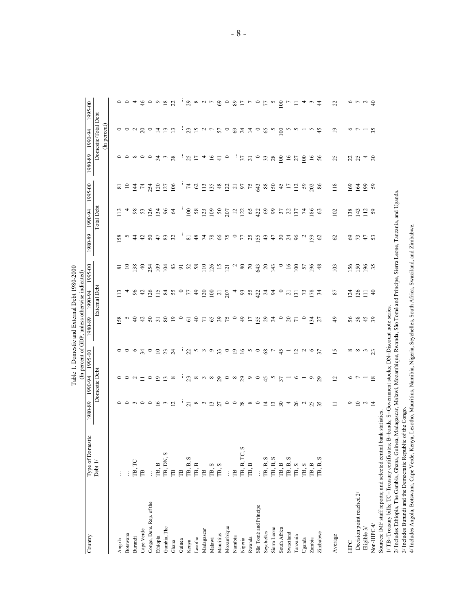| Country                                                                                                                                  | Type of Domestic                                                                  | 1980-89                                                                                              | 1990-94                | 1995-00                       | (In percent of GDP, unless otherwise indicated)<br>1980-89 | 1990-94          | 1995-00          | 1980-89         | 1990-94           | 1995-00             | 1980-89          | 1990-94                               | 1995-00                                                                                                                                                                                                                                                                                                                                                                                                                                                                                  |
|------------------------------------------------------------------------------------------------------------------------------------------|-----------------------------------------------------------------------------------|------------------------------------------------------------------------------------------------------|------------------------|-------------------------------|------------------------------------------------------------|------------------|------------------|-----------------|-------------------|---------------------|------------------|---------------------------------------|------------------------------------------------------------------------------------------------------------------------------------------------------------------------------------------------------------------------------------------------------------------------------------------------------------------------------------------------------------------------------------------------------------------------------------------------------------------------------------------|
|                                                                                                                                          | Debt 1/                                                                           |                                                                                                      | Domestic Debt          |                               |                                                            | External Debt    |                  |                 | <b>Total Debt</b> |                     |                  | Domestic/Total Debt                   |                                                                                                                                                                                                                                                                                                                                                                                                                                                                                          |
|                                                                                                                                          |                                                                                   |                                                                                                      |                        |                               |                                                            |                  |                  |                 |                   |                     |                  | (In percent)                          |                                                                                                                                                                                                                                                                                                                                                                                                                                                                                          |
| Angola                                                                                                                                   |                                                                                   |                                                                                                      |                        |                               | 58                                                         |                  | ಹ                | 58              |                   | $\overline{\infty}$ |                  |                                       |                                                                                                                                                                                                                                                                                                                                                                                                                                                                                          |
| Botswana                                                                                                                                 |                                                                                   |                                                                                                      |                        | $\circ \circ \circ$           | S                                                          |                  | $\overline{10}$  | S               | 4                 | $\Xi$               |                  |                                       |                                                                                                                                                                                                                                                                                                                                                                                                                                                                                          |
| Burundi                                                                                                                                  | TB, TC                                                                            |                                                                                                      | 0 0 0 1                |                               | $\Theta$                                                   | 96               | 138              | $\ddot{4}$      | 98                | $\overline{4}$      | 00000            | 00x                                   |                                                                                                                                                                                                                                                                                                                                                                                                                                                                                          |
| Cape Verde                                                                                                                               | $\mathbb{P}$                                                                      |                                                                                                      |                        | $\mathfrak{z}$                |                                                            | $\ddot{c}$       | $\Theta$         | $\ddot{a}$      | 53                | $\mathcal{L}$       |                  | $\approx$                             |                                                                                                                                                                                                                                                                                                                                                                                                                                                                                          |
| Congo, Dem. Rep. of the                                                                                                                  |                                                                                   |                                                                                                      | $\circ$ $\circ$        |                               |                                                            | $\frac{26}{115}$ | 254              | 50              | 26                | $254$<br>$120$      |                  | $\circ$                               | 004600                                                                                                                                                                                                                                                                                                                                                                                                                                                                                   |
| Ethiopia                                                                                                                                 | TB, B                                                                             |                                                                                                      |                        |                               |                                                            |                  | 109              |                 | 134               |                     | $\overline{34}$  | $\overline{4}$                        |                                                                                                                                                                                                                                                                                                                                                                                                                                                                                          |
| Gambia, The                                                                                                                              | TB, DN, S                                                                         | oomoogna                                                                                             | $\frac{1}{2}$ $\infty$ | C237                          | 487820                                                     |                  | 104              | S <sub>3</sub>  | $96$              | 127                 | $\mathfrak{c}$   | $\begin{array}{c} 2 \\ 1 \end{array}$ | 18/2                                                                                                                                                                                                                                                                                                                                                                                                                                                                                     |
| Ghana                                                                                                                                    | $\mathbb{B}$                                                                      |                                                                                                      |                        |                               |                                                            |                  | $\frac{2}{3}$    |                 | $\mathcal{L}$     | 106                 | 38               |                                       |                                                                                                                                                                                                                                                                                                                                                                                                                                                                                          |
| Guinea                                                                                                                                   | $\mathbb{R}$                                                                      | ÷                                                                                                    |                        |                               |                                                            |                  |                  |                 |                   |                     | ÷                | ŧ,                                    |                                                                                                                                                                                                                                                                                                                                                                                                                                                                                          |
| Kenya                                                                                                                                    | TB, B, S                                                                          | $\overline{c}$                                                                                       | $\frac{1}{23}$         | $\frac{1}{2}$                 | $\overline{6}$                                             |                  | 52               | $\overline{81}$ | 100               | $74$                | 25               | 23                                    |                                                                                                                                                                                                                                                                                                                                                                                                                                                                                          |
| Lesotho                                                                                                                                  | TB, B                                                                             |                                                                                                      |                        |                               |                                                            |                  | $58\,$           | $48$            | 58                | $\mathcal{O}$       | $\Box$           | $\overline{12}$ or $\overline{12}$    |                                                                                                                                                                                                                                                                                                                                                                                                                                                                                          |
| Madagascar                                                                                                                               | $\mathbb{R}$                                                                      |                                                                                                      |                        | 5 m m                         |                                                            |                  | $\overline{110}$ | $\mathcal{L}$   | 123               | 113                 | $\boldsymbol{4}$ |                                       |                                                                                                                                                                                                                                                                                                                                                                                                                                                                                          |
| Malawi                                                                                                                                   | $\begin{array}{c} \mathbb{TB}, \mathbb{S} \\ \mathbb{TB}, \mathbb{S} \end{array}$ | w m m g o o g w o n m g q                                                                            | a wa 80 o 80 o 61 u 7  |                               | 9588699                                                    |                  | 126              | 88870788        | 109               | 135                 | $\frac{6}{41}$   |                                       | $\begin{array}{c} \mathbf{1}_{3} \times \mathbf{1}_{4} \times \mathbf{1}_{5} \times \mathbf{1}_{6} \times \mathbf{1}_{7} \times \mathbf{1}_{8} \times \mathbf{1}_{9} \times \mathbf{1}_{9} \times \mathbf{1}_{10} \times \mathbf{1}_{11} \times \mathbf{1}_{12} \times \mathbf{1}_{13} \times \mathbf{1}_{14} \times \mathbf{1}_{15} \times \mathbf{1}_{16} \times \mathbf{1}_{17} \times \mathbf{1}_{18} \times \mathbf{1}_{19} \times \mathbf{1}_{19} \times \mathbf{1}_{10} \times \$ |
| Mauritus                                                                                                                                 |                                                                                   |                                                                                                      |                        | 33                            |                                                            |                  | $\overline{15}$  |                 | $50$<br>$207$     | $48$<br>122         |                  |                                       |                                                                                                                                                                                                                                                                                                                                                                                                                                                                                          |
| Mozambique                                                                                                                               | $\vdots$                                                                          |                                                                                                      |                        | $\circ$                       |                                                            |                  | $\overline{121}$ |                 |                   |                     | $\circ$          |                                       |                                                                                                                                                                                                                                                                                                                                                                                                                                                                                          |
| Namibia                                                                                                                                  | $\mathbb{B}$                                                                      |                                                                                                      |                        |                               |                                                            |                  | $\sim$           |                 | $\overline{12}$   |                     |                  |                                       |                                                                                                                                                                                                                                                                                                                                                                                                                                                                                          |
| Nigeria                                                                                                                                  | TB, B, TC, S                                                                      |                                                                                                      |                        |                               |                                                            |                  | $\rm 80$         |                 | 122               | 75                  | $37$             |                                       |                                                                                                                                                                                                                                                                                                                                                                                                                                                                                          |
| Rwanda                                                                                                                                   | $\mathbb{T}\mathbb{B},\mathbb{B}$                                                 |                                                                                                      |                        | 99000                         | $\overline{17}$                                            |                  | $\mathcal{L}$    |                 | $65\,$            |                     |                  |                                       |                                                                                                                                                                                                                                                                                                                                                                                                                                                                                          |
| São Tomé and Príncipe                                                                                                                    |                                                                                   |                                                                                                      |                        |                               |                                                            |                  | 643              |                 | 422               | 643                 | $\circ$          | $\circ$                               |                                                                                                                                                                                                                                                                                                                                                                                                                                                                                          |
| Seychelles                                                                                                                               | S<br>TB, B,                                                                       |                                                                                                      |                        | 87                            | 5870                                                       |                  | $20\,$           | 43              | 89                | $88\,$              | $33\atop 28$     | $8 \,$ $^{\circ}$ $\,$ $\!8$          |                                                                                                                                                                                                                                                                                                                                                                                                                                                                                          |
| Sierra Leone                                                                                                                             | S<br>TB, B,                                                                       |                                                                                                      |                        |                               |                                                            |                  | 143              | $47$            |                   | 150                 |                  |                                       |                                                                                                                                                                                                                                                                                                                                                                                                                                                                                          |
| South Africa                                                                                                                             | $\overline{\text{1B}}, \overline{\text{B}}$                                       |                                                                                                      |                        | 45                            |                                                            |                  | $\circ$          | $30^{24}$       | 57                | 45                  | $\overline{0}$   |                                       | $\overline{0}$                                                                                                                                                                                                                                                                                                                                                                                                                                                                           |
| Swaziland                                                                                                                                | S<br>TB, B,                                                                       |                                                                                                      |                        |                               |                                                            | $\overline{c}$   | 16               |                 | 22                | $\overline{17}$     | 16               | $\sim$                                | $\overline{r}$                                                                                                                                                                                                                                                                                                                                                                                                                                                                           |
| Tanzania                                                                                                                                 | $\infty$<br>TB,                                                                   | $26$ $\alpha$                                                                                        | $\circ$                | $\overline{a}$ $\overline{a}$ | $\stackrel{\frown}{\phantom{}_{\sim}} 0$                   | $\overline{13}$  | $\geq$           | 96              | 137               | $\frac{12}{1}$      | 27               | $\sim -$                              | $\equiv$                                                                                                                                                                                                                                                                                                                                                                                                                                                                                 |
| Uganda                                                                                                                                   | TB, S                                                                             |                                                                                                      |                        |                               |                                                            | $\mathcal{L}$    | 57               | $\sim$          | $\mathcal{L}$     | 59                  | $\approx$        |                                       | $\overline{a}$                                                                                                                                                                                                                                                                                                                                                                                                                                                                           |
| Zambia                                                                                                                                   | TB, B                                                                             | 25                                                                                                   | $\circ$                | $6\overline{5}$               | $\frac{34}{27}$                                            | 178              | 196              | 59              | 186               | 202                 | 16               | S.                                    |                                                                                                                                                                                                                                                                                                                                                                                                                                                                                          |
| Zimbabwe                                                                                                                                 | S<br>TB, B,                                                                       |                                                                                                      | 29                     |                               |                                                            |                  | 48               | $\mathcal{C}$   | 63                | 86                  | 56               | $\frac{4}{5}$                         | $\frac{4}{4}$                                                                                                                                                                                                                                                                                                                                                                                                                                                                            |
| Average                                                                                                                                  |                                                                                   | $\equiv$                                                                                             | $\overline{c}$         | $\overline{15}$               | $^{49}$                                                    | $87\,$           | 103              | $\mathcal{O}$   | 102               | 118                 | 25               | $\overline{1}$                        | 22                                                                                                                                                                                                                                                                                                                                                                                                                                                                                       |
| HIPC                                                                                                                                     |                                                                                   | $\circ$                                                                                              |                        |                               |                                                            |                  | 156              |                 | 138               | 169                 |                  | o r                                   |                                                                                                                                                                                                                                                                                                                                                                                                                                                                                          |
| Decision point reached 2/                                                                                                                |                                                                                   |                                                                                                      | o r                    | ∞∞ m m                        | 5843                                                       | 124<br>126       | 150              | 8777            | 143               | 164                 | 23               |                                       | 0 7 9                                                                                                                                                                                                                                                                                                                                                                                                                                                                                    |
| Eligible 3/                                                                                                                              |                                                                                   | 54                                                                                                   |                        |                               |                                                            | $\Xi$            |                  |                 | 112               | 199                 | $4\degree$       |                                       |                                                                                                                                                                                                                                                                                                                                                                                                                                                                                          |
| Non-HIPC 4/                                                                                                                              |                                                                                   |                                                                                                      | $\frac{8}{18}$         |                               |                                                            | $\overline{4}$   | 196              |                 | 59                | 59                  |                  | 35                                    |                                                                                                                                                                                                                                                                                                                                                                                                                                                                                          |
| Sources: IMF staff reports; and selected central b                                                                                       |                                                                                   | bank statistics.                                                                                     |                        |                               |                                                            |                  |                  |                 |                   |                     |                  |                                       |                                                                                                                                                                                                                                                                                                                                                                                                                                                                                          |
| 1/TB=Treasury bills; TC=Treasury certificates;                                                                                           |                                                                                   | B=bonds; S=Government stocks; DN=Discount note series.                                               |                        |                               |                                                            |                  |                  |                 |                   |                     |                  |                                       |                                                                                                                                                                                                                                                                                                                                                                                                                                                                                          |
| 2/ Includes Ethiopia, The Gambia, Ghana, Guine                                                                                           |                                                                                   | a, Madagascar, Malawi, Mozambique, Rwanda, São Tomé and Príncipe, Sierra Leone, Tanzania, and Uganda |                        |                               |                                                            |                  |                  |                 |                   |                     |                  |                                       |                                                                                                                                                                                                                                                                                                                                                                                                                                                                                          |
|                                                                                                                                          | 3/ Includes Burundi and the Democratic Republic of the Congo.                     |                                                                                                      |                        |                               |                                                            |                  |                  |                 |                   |                     |                  |                                       |                                                                                                                                                                                                                                                                                                                                                                                                                                                                                          |
| 4/ Includes Angola, Botswana, Cape Verde, Kenya, Lesotho, Mauritius, Namibia, Nigeria, Seychelles, South Africa, Swaziland, and Zimbabwe |                                                                                   |                                                                                                      |                        |                               |                                                            |                  |                  |                 |                   |                     |                  |                                       |                                                                                                                                                                                                                                                                                                                                                                                                                                                                                          |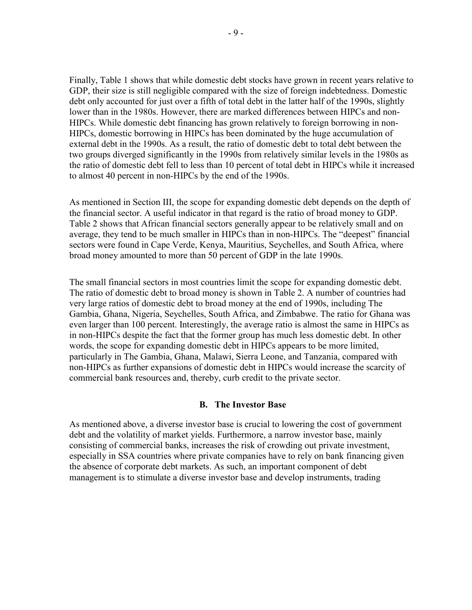Finally, Table 1 shows that while domestic debt stocks have grown in recent years relative to GDP, their size is still negligible compared with the size of foreign indebtedness. Domestic debt only accounted for just over a fifth of total debt in the latter half of the 1990s, slightly lower than in the 1980s. However, there are marked differences between HIPCs and non-HIPCs. While domestic debt financing has grown relatively to foreign borrowing in non-HIPCs, domestic borrowing in HIPCs has been dominated by the huge accumulation of external debt in the 1990s. As a result, the ratio of domestic debt to total debt between the two groups diverged significantly in the 1990s from relatively similar levels in the 1980s as the ratio of domestic debt fell to less than 10 percent of total debt in HIPCs while it increased to almost 40 percent in non-HIPCs by the end of the 1990s.

As mentioned in Section III, the scope for expanding domestic debt depends on the depth of the financial sector. A useful indicator in that regard is the ratio of broad money to GDP. Table 2 shows that African financial sectors generally appear to be relatively small and on average, they tend to be much smaller in HIPCs than in non-HIPCs. The "deepest" financial sectors were found in Cape Verde, Kenya, Mauritius, Seychelles, and South Africa, where broad money amounted to more than 50 percent of GDP in the late 1990s.

The small financial sectors in most countries limit the scope for expanding domestic debt. The ratio of domestic debt to broad money is shown in Table 2. A number of countries had very large ratios of domestic debt to broad money at the end of 1990s, including The Gambia, Ghana, Nigeria, Seychelles, South Africa, and Zimbabwe. The ratio for Ghana was even larger than 100 percent. Interestingly, the average ratio is almost the same in HIPCs as in non-HIPCs despite the fact that the former group has much less domestic debt. In other words, the scope for expanding domestic debt in HIPCs appears to be more limited, particularly in The Gambia, Ghana, Malawi, Sierra Leone, and Tanzania, compared with non-HIPCs as further expansions of domestic debt in HIPCs would increase the scarcity of commercial bank resources and, thereby, curb credit to the private sector.

## **B. The Investor Base**

As mentioned above, a diverse investor base is crucial to lowering the cost of government debt and the volatility of market yields. Furthermore, a narrow investor base, mainly consisting of commercial banks, increases the risk of crowding out private investment, especially in SSA countries where private companies have to rely on bank financing given the absence of corporate debt markets. As such, an important component of debt management is to stimulate a diverse investor base and develop instruments, trading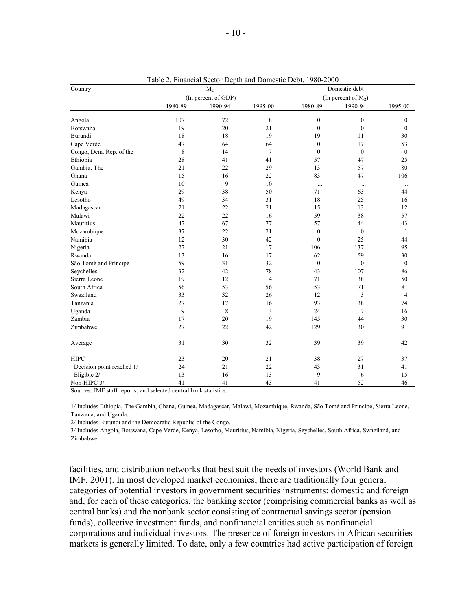| Country                   |         | M <sub>2</sub>      |         |                  | Domestic debt          |                  |
|---------------------------|---------|---------------------|---------|------------------|------------------------|------------------|
|                           |         | (In percent of GDP) |         |                  | (In percent of $M_2$ ) |                  |
|                           | 1980-89 | 1990-94             | 1995-00 | 1980-89          | 1990-94                | 1995-00          |
| Angola                    | 107     | 72                  | 18      | $\boldsymbol{0}$ | $\boldsymbol{0}$       | $\mathbf{0}$     |
| Botswana                  | 19      | 20                  | 21      | $\boldsymbol{0}$ | $\boldsymbol{0}$       | $\mathbf{0}$     |
| Burundi                   | 18      | 18                  | 19      | 19               | 11                     | 30               |
| Cape Verde                | 47      | 64                  | 64      | $\boldsymbol{0}$ | 17                     | 53               |
| Congo, Dem. Rep. of the   | 8       | 14                  | $\tau$  | $\mathbf{0}$     | $\boldsymbol{0}$       | $\boldsymbol{0}$ |
| Ethiopia                  | 28      | 41                  | 41      | 57               | 47                     | 25               |
| Gambia, The               | 21      | 22                  | 29      | 13               | 57                     | 80               |
| Ghana                     | 15      | 16                  | 22      | 83               | 47                     | 106              |
| Guinea                    | 10      | 9                   | 10      | $\cdots$         | $\ldots$               | $\ldots$         |
| Kenya                     | 29      | 38                  | 50      | 71               | 63                     | 44               |
| Lesotho                   | 49      | 34                  | 31      | 18               | 25                     | 16               |
| Madagascar                | 21      | 22                  | 21      | 15               | 13                     | 12               |
| Malawi                    | 22      | 22                  | 16      | 59               | 38                     | 57               |
| Mauritius                 | 47      | 67                  | 77      | 57               | 44                     | 43               |
| Mozambique                | 37      | 22                  | 21      | $\boldsymbol{0}$ | $\boldsymbol{0}$       | $\mathbf{1}$     |
| Namibia                   | 12      | 30                  | 42      | $\mathbf{0}$     | 25                     | 44               |
| Nigeria                   | 27      | 21                  | 17      | 106              | 137                    | 95               |
| Rwanda                    | 13      | 16                  | 17      | 62               | 59                     | 30               |
| São Tomé and Príncipe     | 59      | 31                  | 32      | $\mathbf{0}$     | $\boldsymbol{0}$       | $\boldsymbol{0}$ |
| Seychelles                | 32      | 42                  | 78      | 43               | 107                    | 86               |
| Sierra Leone              | 19      | 12                  | 14      | 71               | 38                     | 50               |
| South Africa              | 56      | 53                  | 56      | 53               | 71                     | 81               |
| Swaziland                 | 33      | 32                  | 26      | 12               | 3                      | $\overline{4}$   |
| Tanzania                  | 27      | 17                  | 16      | 93               | 38                     | 74               |
| Uganda                    | 9       | $\,$ $\,$           | 13      | 24               | $\overline{7}$         | 16               |
| Zambia                    | 17      | 20                  | 19      | 145              | 44                     | 30               |
| Zimbabwe                  | 27      | 22                  | 42      | 129              | 130                    | 91               |
| Average                   | 31      | 30                  | 32      | 39               | 39                     | 42               |
| <b>HIPC</b>               | 23      | 20                  | 21      | 38               | 27                     | 37               |
| Decision point reached 1/ | 24      | 21                  | 22      | 43               | 31                     | 41               |
| Eligible 2/               | 13      | 16                  | 13      | 9                | 6                      | 15               |
| Non-HIPC 3/               | 41      | 41                  | 43      | 41               | 52                     | 46               |

Table 2. Financial Sector Depth and Domestic Debt, 1980-2000

Sources: IMF staff reports; and selected central bank statistics.

1/ Includes Ethiopia, The Gambia, Ghana, Guinea, Madagascar, Malawi, Mozambique, Rwanda, São Tomé and Príncipe, Sierra Leone, Tanzania, and Uganda.

2/ Includes Burundi and the Democratic Republic of the Congo.

3/ Includes Angola, Botswana, Cape Verde, Kenya, Lesotho, Mauritius, Namibia, Nigeria, Seychelles, South Africa, Swaziland, and Zimbabwe.

facilities, and distribution networks that best suit the needs of investors (World Bank and IMF, 2001). In most developed market economies, there are traditionally four general categories of potential investors in government securities instruments: domestic and foreign and, for each of these categories, the banking sector (comprising commercial banks as well as central banks) and the nonbank sector consisting of contractual savings sector (pension funds), collective investment funds, and nonfinancial entities such as nonfinancial corporations and individual investors. The presence of foreign investors in African securities markets is generally limited. To date, only a few countries had active participation of foreign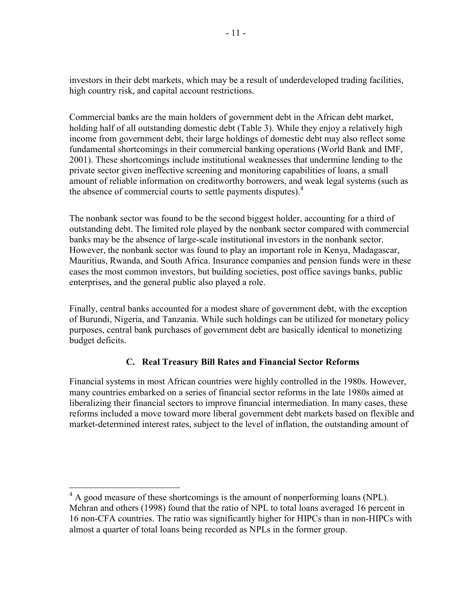investors in their debt markets, which may be a result of underdeveloped trading facilities, high country risk, and capital account restrictions.

Commercial banks are the main holders of government debt in the African debt market, holding half of all outstanding domestic debt (Table 3). While they enjoy a relatively high income from government debt, their large holdings of domestic debt may also reflect some fundamental shortcomings in their commercial banking operations (World Bank and IMF, 2001). These shortcomings include institutional weaknesses that undermine lending to the private sector given ineffective screening and monitoring capabilities of loans, a small amount of reliable information on creditworthy borrowers, and weak legal systems (such as the absence of commercial courts to settle payments disputes). $4$ 

The nonbank sector was found to be the second biggest holder, accounting for a third of outstanding debt. The limited role played by the nonbank sector compared with commercial banks may be the absence of large-scale institutional investors in the nonbank sector. However, the nonbank sector was found to play an important role in Kenya, Madagascar, Mauritius, Rwanda, and South Africa. Insurance companies and pension funds were in these cases the most common investors, but building societies, post office savings banks, public enterprises, and the general public also played a role.

Finally, central banks accounted for a modest share of government debt, with the exception of Burundi, Nigeria, and Tanzania. While such holdings can be utilized for monetary policy purposes, central bank purchases of government debt are basically identical to monetizing budget deficits.

## **C. Real Treasury Bill Rates and Financial Sector Reforms**

Financial systems in most African countries were highly controlled in the 1980s. However, many countries embarked on a series of financial sector reforms in the late 1980s aimed at liberalizing their financial sectors to improve financial intermediation. In many cases, these reforms included a move toward more liberal government debt markets based on flexible and market-determined interest rates, subject to the level of inflation, the outstanding amount of

<sup>&</sup>lt;sup>4</sup> A good measure of these shortcomings is the amount of nonperforming loans (NPL). Mehran and others (1998) found that the ratio of NPL to total loans averaged 16 percent in 16 non-CFA countries. The ratio was significantly higher for HIPCs than in non-HIPCs with almost a quarter of total loans being recorded as NPLs in the former group.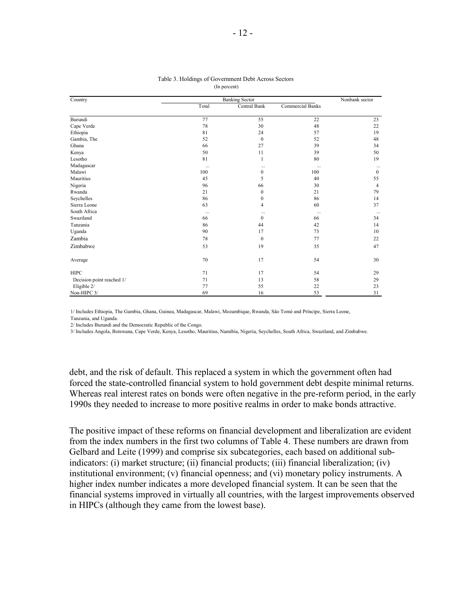| Country                   |          | <b>Banking Sector</b> |                  | Nonbank sector |
|---------------------------|----------|-----------------------|------------------|----------------|
|                           | Total    | Central Bank          | Commercial Banks |                |
| Burundi                   | 77       | 55                    | 22               | 23             |
| Cape Verde                | 78       | 30                    | 48               | 22             |
| Ethiopia                  | 81       | 24                    | 57               | 19             |
| Gambia, The               | 52       | $\mathbf{0}$          | 52               | 48             |
| Ghana                     | 66       | 27                    | 39               | 34             |
| Kenya                     | 50       | 11                    | 39               | 50             |
| Lesotho                   | 81       | 1                     | 80               | 19             |
| Madagascar                | $\cdots$ | $\cdots$              | $\cdots$         | $\cdots$       |
| Malawi                    | 100      | $\boldsymbol{0}$      | 100              | $\mathbf{0}$   |
| Mauritius                 | 45       | 5                     | 40               | 55             |
| Nigeria                   | 96       | 66                    | 30               | 4              |
| Rwanda                    | 21       | $\boldsymbol{0}$      | 21               | 79             |
| Seychelles                | 86       | $\boldsymbol{0}$      | 86               | 14             |
| Sierra Leone              | 63       | 4                     | 60               | 37             |
| South Africa              | $\cdots$ | $\cdots$              | $\cdots$         |                |
| Swaziland                 | 66       | $\Omega$              | 66               | 34             |
| Tanzania                  | 86       | 44                    | 42               | 14             |
| Uganda                    | 90       | 17                    | 73               | 10             |
| Zambia                    | 78       | $\mathbf{0}$          | 77               | 22             |
| Zimbabwe                  | 53       | 19                    | 35               | 47             |
| Average                   | 70       | 17                    | 54               | 30             |
| <b>HIPC</b>               | 71       | 17                    | 54               | 29             |
| Decision point reached 1/ | 71       | 13                    | 58               | 29             |
| Eligible 2/               | 77       | 55                    | 22               | 23             |
| Non-HIPC 3/               | 69       | 16                    | 53               | 31             |

#### Table 3. Holdings of Government Debt Across Sectors (In percent)

1/ Includes Ethiopia, The Gambia, Ghana, Guinea, Madagascar, Malawi, Mozambique, Rwanda, São Tomé and Príncipe, Sierra Leone,

Tanzania, and Uganda.

2/ Includes Burundi and the Democratic Republic of the Congo.

3/ Includes Angola, Botswana, Cape Verde, Kenya, Lesotho, Mauritius, Namibia, Nigeria, Seychelles, South Africa, Swaziland, and Zimbabwe.

debt, and the risk of default. This replaced a system in which the government often had forced the state-controlled financial system to hold government debt despite minimal returns. Whereas real interest rates on bonds were often negative in the pre-reform period, in the early 1990s they needed to increase to more positive realms in order to make bonds attractive.

The positive impact of these reforms on financial development and liberalization are evident from the index numbers in the first two columns of Table 4. These numbers are drawn from Gelbard and Leite (1999) and comprise six subcategories, each based on additional subindicators: (i) market structure; (ii) financial products; (iii) financial liberalization; (iv) institutional environment; (v) financial openness; and (vi) monetary policy instruments. A higher index number indicates a more developed financial system. It can be seen that the financial systems improved in virtually all countries, with the largest improvements observed in HIPCs (although they came from the lowest base).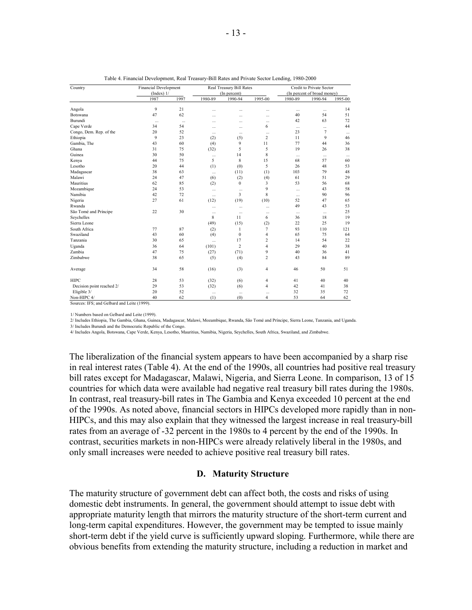| Country                   | <b>Financial Development</b> |          |          | Real Treasury Bill Rates |                |           | Credit to Private Sector    |          |
|---------------------------|------------------------------|----------|----------|--------------------------|----------------|-----------|-----------------------------|----------|
|                           | $(Index)$ 1/                 |          |          | (In percent)             |                |           | (In percent of broad money) |          |
|                           | 1987                         | 1997     | 1980-89  | 1990-94                  | 1995-00        | 1980-89   | 1990-94                     | 1995-00  |
| Angola                    | 9                            | 21       | $\sim$   | $\sim$                   |                | $\cdots$  | $\cdots$                    | 14       |
| Botswana                  | 47                           | 62       | $\cdots$ | $\cdots$                 | $\ddotsc$      | 40        | 54                          | 51       |
| Burundi                   | $\cdots$                     | $\cdots$ | $\cdots$ | $\cdots$                 | $\cdots$       | 42        | 63                          | 72       |
| Cape Verde                | 34                           | 54       | $\cdots$ | $\cdots$                 | 6              | $\cdots$  |                             | 44       |
| Congo, Dem. Rep. of the   | 20                           | 52       |          | $\cdots$                 |                | 23        | $\overline{7}$              | $\cdots$ |
| Ethiopia                  | $\mathbf{Q}$                 | 23       | (2)      | (5)                      | $\overline{c}$ | 11        | 9                           | 46       |
| Gambia, The               | 43                           | 60       | (4)      | 9                        | 11             | 77        | 44                          | 36       |
| Ghana                     | 31                           | 75       | (32)     | 5                        | 5              | 19        | 26                          | 38       |
| Guinea                    | 30                           | 50       |          | 14                       | 8              | $\cdots$  |                             | $\cdots$ |
| Kenya                     | 44                           | 75       | 5        | 8                        | 15             | 68        | 57                          | 60       |
| Lesotho                   | 20                           | 44       | (1)      | (0)                      | 5              | 26        | 48                          | 53       |
| Madagascar                | 38                           | 63       | $\cdots$ | (11)                     | (1)            | 103       | 79                          | 48       |
| Malawi                    | 24                           | 47       | (6)      | (2)                      | (4)            | 61        | 51                          | 29       |
| Mauritius                 | 62                           | 85       | (2)      | $\mathbf{0}$             | 3              | 53        | 56                          | 68       |
| Mozambique                | 24                           | 53       |          | $\cdots$                 | 9              | $\cdots$  | 43                          | 58       |
| Namibia                   | 42                           | 72       |          | 3                        | 8              | $\cdots$  | 90                          | 96       |
| Nigeria                   | 27                           | 61       | (12)     | (19)                     | (10)           | 52        | 47                          | 65       |
| Rwanda                    |                              |          | $\cdots$ | $\cdots$                 | $\cdots$       | 49        | 43                          | 53       |
| São Tomé and Príncipe     | 22                           | 30       | $\cdots$ | $\ddotsc$                | $\ddotsc$      | $\ddotsc$ |                             | 25       |
| Seychelles                |                              |          | 8        | 11                       | 6              | 36        | 18                          | 19       |
| Sierra Leone              |                              |          | (49)     | (15)                     | (2)            | 22        | 25                          | 19       |
| South Africa              | 77                           | 87       | (2)      | 1                        | $\overline{7}$ | 93        | 110                         | 121      |
| Swaziland                 | 43                           | 60       | (4)      | $\theta$                 | $\overline{4}$ | 65        | 75                          | 64       |
| Tanzania                  | 30                           | 65       |          | 17                       | $\overline{c}$ | 14        | 54                          | 22       |
| Uganda                    | 36                           | 64       | (101)    | $\overline{c}$           | $\overline{4}$ | 29        | 40                          | 38       |
| Zambia                    | 47                           | 75       | (27)     | (71)                     | 9              | 40        | 36                          | 41       |
| Zimbabwe                  | 38                           | 65       | (5)      | (4)                      | $\overline{c}$ | 43        | 84                          | 89       |
| Average                   | 34                           | 58       | (16)     | (3)                      | $\overline{4}$ | 46        | 50                          | 51       |
| <b>HIPC</b>               | 28                           | 53       | (32)     | (6)                      | 4              | 41        | 40                          | 40       |
| Decision point reached 2/ | 29                           | 53       | (32)     | (6)                      | $\overline{4}$ | 42        | 41                          | 38       |
| Eligible 3/               | 20                           | 52       | $\cdots$ | $\cdots$                 | $\ddotsc$      | 32        | 35                          | 72       |
| Non-HIPC 4/               | 40                           | 62       | (1)      | (0)                      | $\overline{4}$ | 53        | 64                          | 62       |

| Table 4. Financial Development, Real Treasury-Bill Rates and Private Sector Lending, 1980-2000 |  |  |
|------------------------------------------------------------------------------------------------|--|--|
|                                                                                                |  |  |

Sources: IFS; and Gelbard and Leite (1999).

1/ Numbers based on Gelbard and Leite (1999).

2/ Includes Ethiopia, The Gambia, Ghana, Guinea, Madagascar, Malawi, Mozambique, Rwanda, São Tomé and Príncipe, Sierra Leone, Tanzania, and Uganda.

3/ Includes Burundi and the Democratic Republic of the Congo.

4/ Includes Angola, Botswana, Cape Verde, Kenya, Lesotho, Mauritius, Namibia, Nigeria, Seychelles, South Africa, Swaziland, and Zimbabwe.

The liberalization of the financial system appears to have been accompanied by a sharp rise in real interest rates (Table 4). At the end of the 1990s, all countries had positive real treasury bill rates except for Madagascar, Malawi, Nigeria, and Sierra Leone. In comparison, 13 of 15 countries for which data were available had negative real treasury bill rates during the 1980s. In contrast, real treasury-bill rates in The Gambia and Kenya exceeded 10 percent at the end of the 1990s. As noted above, financial sectors in HIPCs developed more rapidly than in non-HIPCs, and this may also explain that they witnessed the largest increase in real treasury-bill rates from an average of -32 percent in the 1980s to 4 percent by the end of the 1990s. In contrast, securities markets in non-HIPCs were already relatively liberal in the 1980s, and only small increases were needed to achieve positive real treasury bill rates.

#### **D. Maturity Structure**

The maturity structure of government debt can affect both, the costs and risks of using domestic debt instruments. In general, the government should attempt to issue debt with appropriate maturity length that mirrors the maturity structure of the short-term current and long-term capital expenditures. However, the government may be tempted to issue mainly short-term debt if the yield curve is sufficiently upward sloping. Furthermore, while there are obvious benefits from extending the maturity structure, including a reduction in market and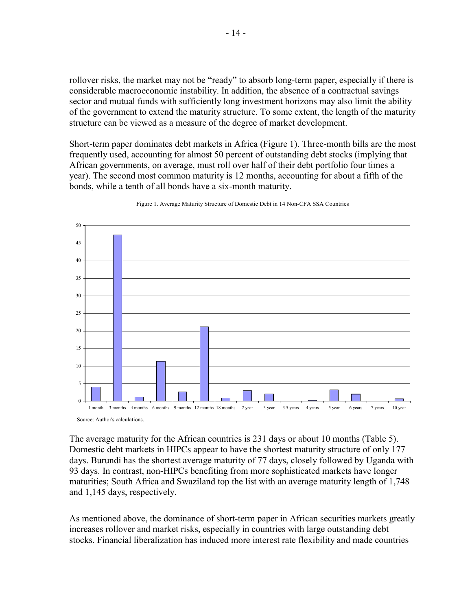rollover risks, the market may not be "ready" to absorb long-term paper, especially if there is considerable macroeconomic instability. In addition, the absence of a contractual savings sector and mutual funds with sufficiently long investment horizons may also limit the ability of the government to extend the maturity structure. To some extent, the length of the maturity structure can be viewed as a measure of the degree of market development.

Short-term paper dominates debt markets in Africa (Figure 1). Three-month bills are the most frequently used, accounting for almost 50 percent of outstanding debt stocks (implying that African governments, on average, must roll over half of their debt portfolio four times a year). The second most common maturity is 12 months, accounting for about a fifth of the bonds, while a tenth of all bonds have a six-month maturity.



Figure 1. Average Maturity Structure of Domestic Debt in 14 Non-CFA SSA Countries

Source: Author's calculations.

The average maturity for the African countries is 231 days or about 10 months (Table 5). Domestic debt markets in HIPCs appear to have the shortest maturity structure of only 177 days. Burundi has the shortest average maturity of 77 days, closely followed by Uganda with 93 days. In contrast, non-HIPCs benefiting from more sophisticated markets have longer maturities; South Africa and Swaziland top the list with an average maturity length of 1,748 and 1,145 days, respectively.

As mentioned above, the dominance of short-term paper in African securities markets greatly increases rollover and market risks, especially in countries with large outstanding debt stocks. Financial liberalization has induced more interest rate flexibility and made countries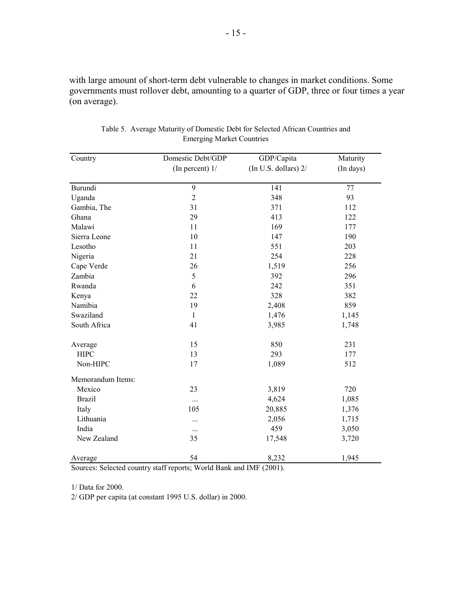with large amount of short-term debt vulnerable to changes in market conditions. Some governments must rollover debt, amounting to a quarter of GDP, three or four times a year (on average).

| Country           | Domestic Debt/GDP | GDP/Capita             | Maturity  |
|-------------------|-------------------|------------------------|-----------|
|                   | (In percent) $1/$ | (In U.S. dollars) $2/$ | (In days) |
| Burundi           | 9                 | 141                    | 77        |
| Uganda            | $\overline{2}$    | 348                    | 93        |
| Gambia, The       | 31                | 371                    | 112       |
| Ghana             | 29                | 413                    | 122       |
| Malawi            | 11                | 169                    | 177       |
| Sierra Leone      | 10                | 147                    | 190       |
| Lesotho           | 11                | 551                    | 203       |
| Nigeria           | 21                | 254                    | 228       |
| Cape Verde        | 26                | 1,519                  | 256       |
| Zambia            | 5                 | 392                    | 296       |
| Rwanda            | 6                 | 242                    | 351       |
| Kenya             | 22                | 328                    | 382       |
| Namibia           | 19                | 2,408                  | 859       |
| Swaziland         | $\mathbf{1}$      | 1,476                  | 1,145     |
| South Africa      | 41                | 3,985                  | 1,748     |
| Average           | 15                | 850                    | 231       |
| <b>HIPC</b>       | 13                | 293                    | 177       |
| Non-HIPC          | 17                | 1,089                  | 512       |
| Memorandum Items: |                   |                        |           |
| Mexico            | 23                | 3,819                  | 720       |
| <b>Brazil</b>     | $\cdots$          | 4,624                  | 1,085     |
| Italy             | 105               | 20,885                 | 1,376     |
| Lithuania         | $\cdots$          | 2,056                  | 1,715     |
| India             | $\cdots$          | 459                    | 3,050     |
| New Zealand       | 35                | 17,548                 | 3,720     |
| Average           | 54                | 8,232                  | 1,945     |

Table 5. Average Maturity of Domestic Debt for Selected African Countries and Emerging Market Countries

Sources: Selected country staff reports; World Bank and IMF (2001).

1/ Data for 2000.

2/ GDP per capita (at constant 1995 U.S. dollar) in 2000.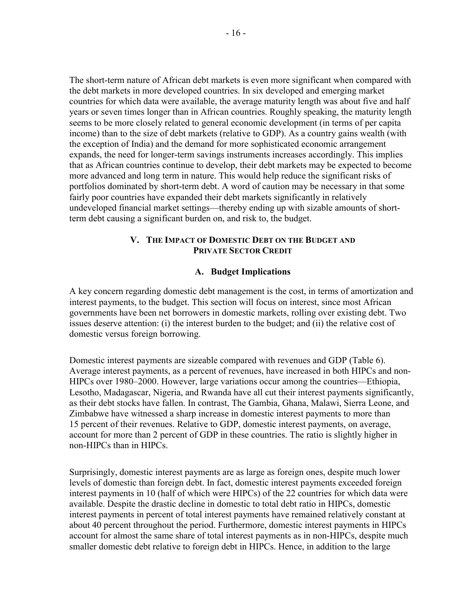The short-term nature of African debt markets is even more significant when compared with the debt markets in more developed countries. In six developed and emerging market countries for which data were available, the average maturity length was about five and half years or seven times longer than in African countries. Roughly speaking, the maturity length seems to be more closely related to general economic development (in terms of per capita income) than to the size of debt markets (relative to GDP). As a country gains wealth (with the exception of India) and the demand for more sophisticated economic arrangement expands, the need for longer-term savings instruments increases accordingly. This implies that as African countries continue to develop, their debt markets may be expected to become more advanced and long term in nature. This would help reduce the significant risks of portfolios dominated by short-term debt. A word of caution may be necessary in that some fairly poor countries have expanded their debt markets significantly in relatively undeveloped financial market settings—thereby ending up with sizable amounts of shortterm debt causing a significant burden on, and risk to, the budget.

## **V. THE IMPACT OF DOMESTIC DEBT ON THE BUDGET AND PRIVATE SECTOR CREDIT**

## **A. Budget Implications**

A key concern regarding domestic debt management is the cost, in terms of amortization and interest payments, to the budget. This section will focus on interest, since most African governments have been net borrowers in domestic markets, rolling over existing debt. Two issues deserve attention: (i) the interest burden to the budget; and (ii) the relative cost of domestic versus foreign borrowing.

Domestic interest payments are sizeable compared with revenues and GDP (Table 6). Average interest payments, as a percent of revenues, have increased in both HIPCs and non-HIPCs over 1980–2000. However, large variations occur among the countries—Ethiopia, Lesotho, Madagascar, Nigeria, and Rwanda have all cut their interest payments significantly, as their debt stocks have fallen. In contrast, The Gambia, Ghana, Malawi, Sierra Leone, and Zimbabwe have witnessed a sharp increase in domestic interest payments to more than 15 percent of their revenues. Relative to GDP, domestic interest payments, on average, account for more than 2 percent of GDP in these countries. The ratio is slightly higher in non-HIPCs than in HIPCs.

Surprisingly, domestic interest payments are as large as foreign ones, despite much lower levels of domestic than foreign debt. In fact, domestic interest payments exceeded foreign interest payments in 10 (half of which were HIPCs) of the 22 countries for which data were available. Despite the drastic decline in domestic to total debt ratio in HIPCs, domestic interest payments in percent of total interest payments have remained relatively constant at about 40 percent throughout the period. Furthermore, domestic interest payments in HIPCs account for almost the same share of total interest payments as in non-HIPCs, despite much smaller domestic debt relative to foreign debt in HIPCs. Hence, in addition to the large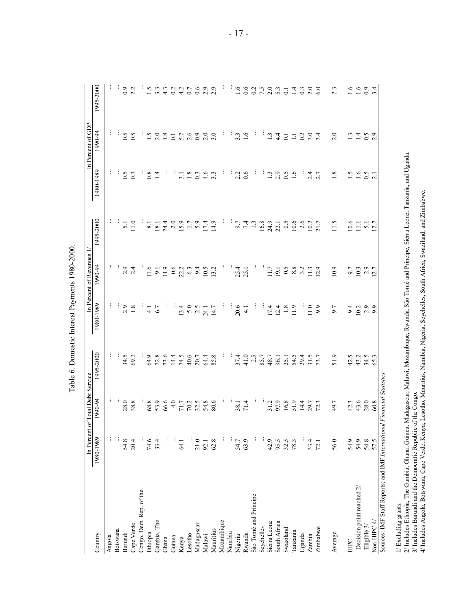| C<br>C<br>C<br>C |
|------------------|
|                  |
|                  |
|                  |
|                  |
|                  |
|                  |
|                  |
|                  |
| ς<br>ς           |
|                  |
|                  |
|                  |
|                  |
|                  |
|                  |
| į                |
|                  |
|                  |
| ١                |
|                  |
|                  |
|                  |
|                  |
|                  |
|                  |
|                  |
|                  |
|                  |
|                  |
| i                |
|                  |
| ٦                |
|                  |
|                  |
|                  |
|                  |
|                  |
|                  |
| <b>Code</b>      |
|                  |
|                  |
|                  |
|                  |
|                  |
|                  |
|                  |
|                  |
|                  |
|                  |
| ï                |
|                  |
|                  |
|                  |
|                  |

|                                                               |                  | In Percent of Total Debt Service |                |                  | In Percent of Revenues 1/ |           |                                                                                                    | In Percent of GDP                 |                                  |
|---------------------------------------------------------------|------------------|----------------------------------|----------------|------------------|---------------------------|-----------|----------------------------------------------------------------------------------------------------|-----------------------------------|----------------------------------|
| Country                                                       | 1980-1989        | 1990-94                          | 1995-2000      | 1980-1989        | 1990-94                   | 1995-2000 | 1980-1989                                                                                          | 1990-94                           | 1995-2000                        |
| Angola                                                        | ÷                |                                  |                |                  | ÷                         |           |                                                                                                    |                                   |                                  |
| Botswana                                                      |                  |                                  |                |                  |                           |           |                                                                                                    | ÷                                 |                                  |
| Burundi                                                       | $54.8$<br>20.4   | 28.0                             | $34.5$<br>69.2 | 2.9              | 2.9                       | 5.1       | 0.5                                                                                                | 0.5                               | $0.9$<br>$2.2$                   |
| Cape Verde                                                    |                  | 38.8                             |                | 1.8              | 2.4                       | 11.0      |                                                                                                    |                                   |                                  |
| Congo, Dem. Rep. of the                                       |                  | ÷                                | ÷              |                  |                           |           | ÷                                                                                                  |                                   |                                  |
| Ethiopia                                                      | 74.6             | 68.8                             | 64.9           | $\frac{1}{4}$    | 11.6                      | $8.1\,$   | $0.8\,$                                                                                            | $\frac{1}{12}$                    | $\frac{15}{1}$ 3.3               |
| Gambia, The                                                   | 33.4             | 53.9                             | 72.8           | 6.7              | 9.1                       | 18.1      | 1.4                                                                                                | 2.0                               |                                  |
| Ghana                                                         | ÷                | 66.6                             | 73.6           | Ť                | 11.9                      | 24.4      | ÷,                                                                                                 | $1.8\,$                           |                                  |
| Guinea                                                        |                  | 4.0                              | 14.4           |                  |                           |           |                                                                                                    | $\overline{0}$ .                  |                                  |
| Kenya                                                         | <b>64.1</b>      | $71.7\,$                         | 74.5           | 13.4             | $0.6$<br>22.2             |           | 3.1                                                                                                | 5.7                               | $4.3$<br>$4.3$<br>$4.5$<br>$6.7$ |
| Lesotho                                                       |                  | 70.2                             | 40.6           | $5.0$<br>2.5     | 6.3                       |           | $1.8\,$                                                                                            | 2.6                               |                                  |
| Madagascar                                                    | 21.0             | 32.5                             | 20.7           |                  |                           |           | $0.\overline{3}$                                                                                   | 0.9                               | 0.6                              |
| Malawi                                                        | 92.1             | 54.8                             | 64.4           | 24.1             | 10.5                      |           | 4.6                                                                                                | $2.0$<br>$3.0$                    | 2.9                              |
| Mauritius                                                     | 62.8             | 80.6                             | 85.8           | 14.7             | 13.2                      |           | $3.\overline{3}$                                                                                   |                                   | 2.9                              |
| Mozambique                                                    |                  | ÷                                | ÷              | ÷                |                           |           | ÷                                                                                                  | ÷                                 | ÷                                |
| Namibia                                                       |                  | ÷                                | ÷              |                  |                           |           |                                                                                                    |                                   | ÷                                |
| Nigeria                                                       | 54.7             | 38.1                             | 37.4           | 20.6             | 25.4                      | 7.4       | $\frac{1}{2}$ $\frac{1}{2}$ $\frac{6}{5}$                                                          | $\frac{1}{3}$ . $\frac{3}{1}$ . 6 | $1.6$<br>0.6                     |
| Rwanda                                                        | 63.9             | 71.4                             | 41.0           | $\overline{4.1}$ | 25.1                      |           |                                                                                                    |                                   |                                  |
| São Tomé and Príncipe                                         |                  | ŧ,                               | 2.5            | ÷,               | ŧ,                        | $1.3\,$   | ÷                                                                                                  | ŧ,                                | 0.2                              |
| Seychelles                                                    |                  | ÷                                | 85.7           |                  |                           | 16.8      | ÷                                                                                                  |                                   | $7.5$<br>$7.3$<br>$5.3$          |
| Sierra Leone                                                  | 42.9             | 31.2                             | 48.7           | 17.4             | 11.7                      |           | $1.3\,$                                                                                            | $\frac{1}{1}$                     |                                  |
| South Africa                                                  | 95.5             | 97.9                             | 96.1           | 12.4             | 19.1                      | 22.1      | $2.9$<br>0.5                                                                                       | 4.4                               |                                  |
| Swaziland                                                     | $32.5$<br>$78.3$ | 16.8                             | 25.1           | $1.8\,$          | 0.5                       | 6.5       |                                                                                                    | $\overline{0.1}$                  | $\overline{0}$ .                 |
| Tanzania                                                      |                  | 51.9                             | 54.5           | 11.9             | $8.8\,$                   | $10.6\,$  | 1.6                                                                                                | $\Box$                            | 1.4                              |
| Uganda                                                        |                  | 14.4                             | 29.4           |                  | 3.2                       | 2.6       |                                                                                                    | 0.2                               | 0.3                              |
| Zambia                                                        | 33.4             | 29.7                             | 31.5           | 11.0             | 11.3                      | 10.2      | 2.4                                                                                                | 3.0                               | 2.0                              |
| Zimbabwe                                                      | 72.1             | 72.3                             | 73.7           | 9.9              | 12.9                      | 21.7      | 2.7                                                                                                | 3.4                               | 6.0                              |
| Average                                                       | 56.0             | 49.7                             | 51.9           | 6.6              | 10.9                      | 11.5      | 1.8                                                                                                | 2.0                               | 2.3                              |
| HIPC                                                          | 54.9             | 42.3                             | 42.5           | 9.4              | 9.7                       | 10.6      |                                                                                                    | 1.3                               |                                  |
| Decision point reached 2/                                     | 54.9             | 43.6                             | 43.2           | 10.2             | 10.3                      | Ξ         |                                                                                                    |                                   | $1.6$<br>$1.6$<br>0.9            |
| Eligible 3/                                                   | 54.8             | 28.0                             | 34.5           | 2.9              | 2.9                       | 5.1       | $\begin{array}{c} 1.5 \\ 1.6 \\ 0.5 \end{array}$                                                   | $1.4$ 0.9                         |                                  |
| Non-HIPC 4/                                                   | 57.5             | 60.8                             | 65.3           | 9.9              | 12.7                      |           | 2.1                                                                                                |                                   | 3.4                              |
| Sources: IMF Staff Reports; and IMF Internationa              |                  | I Financial Statistics.          |                |                  |                           |           |                                                                                                    |                                   |                                  |
| 1/ Excluding grants.                                          |                  |                                  |                |                  |                           |           |                                                                                                    |                                   |                                  |
| 2/ Includes Ethiopia, The Gambia, Ghana, Guinea,              |                  |                                  |                |                  |                           |           | Madagascar, Malawi, Mozambique, Rwanda, São Tomé and Príncipe, Sierra Leone, Tanzania, and Uganda. |                                   |                                  |
| 3/ Includes Burundi and the Democratic Republic of the Congo. |                  |                                  |                |                  |                           |           |                                                                                                    |                                   |                                  |

4/ Includes Angola, Botswana, Cape Verde, Kenya, Lesotho, Mauritius, Namibia, Nigeria, Seychelles, South Africa, Swaziland, and Zimbabwe.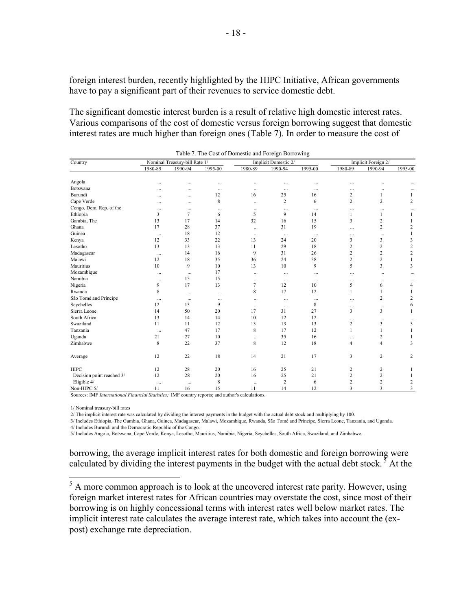foreign interest burden, recently highlighted by the HIPC Initiative, African governments have to pay a significant part of their revenues to service domestic debt.

The significant domestic interest burden is a result of relative high domestic interest rates. Various comparisons of the cost of domestic versus foreign borrowing suggest that domestic interest rates are much higher than foreign ones (Table 7). In order to measure the cost of

| Country                   |               | Nominal Treasury-bill Rate 1/ |                 |                 | Implicit Domestic 2/ | $\tilde{\phantom{a}}$ |                            | Implicit Foreign 2/ |                  |
|---------------------------|---------------|-------------------------------|-----------------|-----------------|----------------------|-----------------------|----------------------------|---------------------|------------------|
|                           | 1980-89       | 1990-94                       | 1995-00         | 1980-89         | 1990-94              | 1995-00               | 1980-89                    | 1990-94             | 1995-00          |
| Angola                    |               |                               |                 |                 |                      |                       |                            |                     |                  |
| Botswana                  | $\ddotsc$     | $\ddots$                      | .               | $\ddotsc$       |                      |                       |                            |                     |                  |
| Burundi                   |               | $\ddotsc$                     | $\ddotsc$<br>12 | $\ddotsc$<br>16 | $\cdots$<br>25       | $\cdots$<br>16        | $\cdots$<br>$\overline{c}$ | $\cdots$<br>1       | 1                |
| Cape Verde                | $\cdots$      | $\cdots$                      | 8               |                 | $\overline{c}$       | 6                     | $\overline{c}$             | $\overline{2}$      | $\overline{2}$   |
| Congo, Dem. Rep. of the   |               | $\cdots$                      |                 | $\cdots$        |                      |                       |                            |                     |                  |
| Ethiopia                  | $\cdots$<br>3 | $\cdots$<br>$\overline{7}$    | $\cdots$<br>6   | $\cdots$<br>5   | $\ldots$<br>9        | $\ldots$<br>14        | $\cdots$<br>1              | $\cdots$<br>1       | 1                |
| Gambia, The               | 13            | 17                            | 14              | 32              | 16                   | 15                    | 3                          | $\overline{c}$      | $\mathbf{1}$     |
| Ghana                     | 17            | 28                            | 37              |                 | 31                   | 19                    |                            | $\overline{c}$      | 2                |
| Guinea                    |               |                               |                 | $\cdots$        |                      |                       | $\cdots$                   |                     |                  |
|                           | $\cdots$      | 18                            | 12              | $\cdots$        | $\cdots$             | $\cdots$              | $\cdots$<br>3              | $\cdots$            | 1                |
| Kenya                     | 12            | 33                            | 22              | 13              | 24                   | 20                    |                            | 3                   | 3                |
| Lesotho                   | 13            | 13                            | 13              | 11              | 29                   | 18                    | 2                          | $\overline{c}$      | $\overline{2}$   |
| Madagascar                | $\cdots$      | 14                            | 16              | 9               | 31                   | 26                    | 2                          | $\overline{2}$      | $\boldsymbol{2}$ |
| Malawi                    | 12            | 18                            | 35              | 36              | 24                   | 38                    | 2                          | $\overline{c}$      | 1                |
| Mauritius                 | 10            | 9                             | 10              | 13              | 10                   | 9                     | 5                          | 3                   | 3                |
| Mozambique                | $\cdots$      | $\ddots$                      | 17              | $\cdots$        | $\cdots$             | $\cdots$              | $\cdots$                   | $\cdots$            | $\ddotsc$        |
| Namibia                   | $\cdots$      | 15                            | 15              | $\cdots$        | $\cdots$             | $\cdots$              | $\cdots$                   | $\cdots$            |                  |
| Nigeria                   | 9             | 17                            | 13              | $\overline{7}$  | 12                   | 10                    | 5                          | 6                   | 4                |
| Rwanda                    | 8             | $\cdots$                      | $\cdots$        | 8               | 17                   | 12                    | 1                          | 1                   |                  |
| São Tomé and Príncipe     | $\ldots$      | $\ldots$                      | $\cdots$        | $\cdots$        | $\cdots$             | $\ldots$              | $\cdots$                   | $\overline{c}$      | 2                |
| Seychelles                | 12            | 13                            | 9               | $\cdots$        | $\cdots$             | 8                     | $\cdots$                   | $\cdots$            | 6                |
| Sierra Leone              | 14            | 50                            | 20              | 17              | 31                   | 27                    | 3                          | 3                   | 1                |
| South Africa              | 13            | 14                            | 14              | 10              | 12                   | 12                    | $\cdots$                   | $\cdots$            | $\ddotsc$        |
| Swaziland                 | 11            | 11                            | 12              | 13              | 13                   | 13                    | 2                          | 3                   | 3                |
| Tanzania                  | $\cdots$      | 47                            | 17              | 8               | 17                   | 12                    | 1                          | 1                   | 1                |
| Uganda                    | 21            | 27                            | 10              | $\cdots$        | 35                   | 16                    | $\cdots$                   | 2                   |                  |
| Zimbabwe                  | 8             | 22                            | 37              | 8               | 12                   | 18                    | 4                          | $\overline{4}$      | 3                |
| Average                   | 12            | 22                            | 18              | 14              | 21                   | 17                    | 3                          | 2                   | 2                |
| <b>HIPC</b>               | 12            | 28                            | 20              | 16              | 25                   | 21                    | 2                          | 2                   | 1                |
| Decision point reached 3/ | 12            | 28                            | 20              | 16              | 25                   | 21                    | 2                          | $\overline{2}$      | -1               |
| Eligible 4/               | $\cdots$      | $\ddots$                      | 8               | $\cdots$        | $\overline{2}$       | 6                     | 2                          | $\overline{2}$      | 2                |
| Non-HIPC 5/               | 11            | 16                            | 15              | 11              | 14                   | 12                    | 3                          | 3                   | 3                |

Table 7. The Cost of Domestic and Foreign Borrowing

Sources: IMF *International Financial Statistics;* IMF country reports; and author's calculations.

1/ Nominal treasury-bill rates

2/ The implicit interest rate was calculated by dividing the interest payments in the budget with the actual debt stock and multiplying by 100.

3/ Includes Ethiopia, The Gambia, Ghana, Guinea, Madagascar, Malawi, Mozambique, Rwanda, São Tomé and Príncipe, Sierra Leone, Tanzania, and Uganda. 4/ Includes Burundi and the Democratic Republic of the Congo.

5/ Includes Angola, Botswana, Cape Verde, Kenya, Lesotho, Mauritius, Namibia, Nigeria, Seychelles, South Africa, Swaziland, and Zimbabwe.

borrowing, the average implicit interest rates for both domestic and foreign borrowing were calculated by dividing the interest payments in the budget with the actual debt stock.<sup>5</sup> At the

<sup>5</sup> A more common approach is to look at the uncovered interest rate parity. However, using foreign market interest rates for African countries may overstate the cost, since most of their borrowing is on highly concessional terms with interest rates well below market rates. The implicit interest rate calculates the average interest rate, which takes into account the (expost) exchange rate depreciation.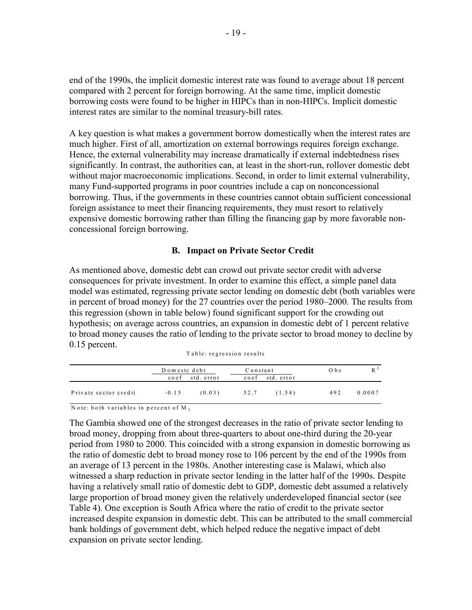end of the 1990s, the implicit domestic interest rate was found to average about 18 percent compared with 2 percent for foreign borrowing. At the same time, implicit domestic borrowing costs were found to be higher in HIPCs than in non-HIPCs. Implicit domestic interest rates are similar to the nominal treasury-bill rates.

A key question is what makes a government borrow domestically when the interest rates are much higher. First of all, amortization on external borrowings requires foreign exchange. Hence, the external vulnerability may increase dramatically if external indebtedness rises significantly. In contrast, the authorities can, at least in the short-run, rollover domestic debt without major macroeconomic implications. Second, in order to limit external vulnerability, many Fund-supported programs in poor countries include a cap on nonconcessional borrowing. Thus, if the governments in these countries cannot obtain sufficient concessional foreign assistance to meet their financing requirements, they must resort to relatively expensive domestic borrowing rather than filling the financing gap by more favorable nonconcessional foreign borrowing.

## **B. Impact on Private Sector Credit**

As mentioned above, domestic debt can crowd out private sector credit with adverse consequences for private investment. In order to examine this effect, a simple panel data model was estimated, regressing private sector lending on domestic debt (both variables were in percent of broad money) for the 27 countries over the period 1980–2000. The results from this regression (shown in table below) found significant support for the crowding out hypothesis; on average across countries, an expansion in domestic debt of 1 percent relative to broad money causes the ratio of lending to the private sector to broad money to decline by 0.15 percent.

|  | Table: regression results |  |
|--|---------------------------|--|
|--|---------------------------|--|

|                       | Domeste debt<br>coef std. error |        | Constant<br>$\csc$<br>std. error |        | O <sub>b</sub> |        |
|-----------------------|---------------------------------|--------|----------------------------------|--------|----------------|--------|
| Private sector credit | $-0.15$                         | (0.03) | 52.7                             | (1.54) | 492            | 0.0007 |

N ote: both variables in percent of M <sup>2</sup>

The Gambia showed one of the strongest decreases in the ratio of private sector lending to broad money, dropping from about three-quarters to about one-third during the 20-year period from 1980 to 2000. This coincided with a strong expansion in domestic borrowing as the ratio of domestic debt to broad money rose to 106 percent by the end of the 1990s from an average of 13 percent in the 1980s. Another interesting case is Malawi, which also witnessed a sharp reduction in private sector lending in the latter half of the 1990s. Despite having a relatively small ratio of domestic debt to GDP, domestic debt assumed a relatively large proportion of broad money given the relatively underdeveloped financial sector (see Table 4). One exception is South Africa where the ratio of credit to the private sector increased despite expansion in domestic debt. This can be attributed to the small commercial bank holdings of government debt, which helped reduce the negative impact of debt expansion on private sector lending.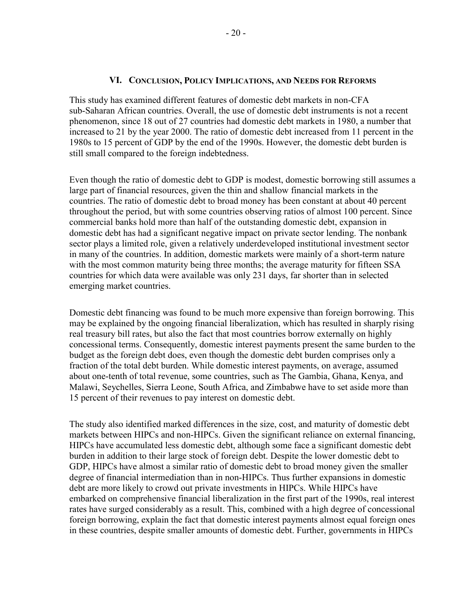#### **VI. CONCLUSION, POLICY IMPLICATIONS, AND NEEDS FOR REFORMS**

This study has examined different features of domestic debt markets in non-CFA sub-Saharan African countries. Overall, the use of domestic debt instruments is not a recent phenomenon, since 18 out of 27 countries had domestic debt markets in 1980, a number that increased to 21 by the year 2000. The ratio of domestic debt increased from 11 percent in the 1980s to 15 percent of GDP by the end of the 1990s. However, the domestic debt burden is still small compared to the foreign indebtedness.

Even though the ratio of domestic debt to GDP is modest, domestic borrowing still assumes a large part of financial resources, given the thin and shallow financial markets in the countries. The ratio of domestic debt to broad money has been constant at about 40 percent throughout the period, but with some countries observing ratios of almost 100 percent. Since commercial banks hold more than half of the outstanding domestic debt, expansion in domestic debt has had a significant negative impact on private sector lending. The nonbank sector plays a limited role, given a relatively underdeveloped institutional investment sector in many of the countries. In addition, domestic markets were mainly of a short-term nature with the most common maturity being three months; the average maturity for fifteen SSA countries for which data were available was only 231 days, far shorter than in selected emerging market countries.

Domestic debt financing was found to be much more expensive than foreign borrowing. This may be explained by the ongoing financial liberalization, which has resulted in sharply rising real treasury bill rates, but also the fact that most countries borrow externally on highly concessional terms. Consequently, domestic interest payments present the same burden to the budget as the foreign debt does, even though the domestic debt burden comprises only a fraction of the total debt burden. While domestic interest payments, on average, assumed about one-tenth of total revenue, some countries, such as The Gambia, Ghana, Kenya, and Malawi, Seychelles, Sierra Leone, South Africa, and Zimbabwe have to set aside more than 15 percent of their revenues to pay interest on domestic debt.

The study also identified marked differences in the size, cost, and maturity of domestic debt markets between HIPCs and non-HIPCs. Given the significant reliance on external financing, HIPCs have accumulated less domestic debt, although some face a significant domestic debt burden in addition to their large stock of foreign debt. Despite the lower domestic debt to GDP, HIPCs have almost a similar ratio of domestic debt to broad money given the smaller degree of financial intermediation than in non-HIPCs. Thus further expansions in domestic debt are more likely to crowd out private investments in HIPCs. While HIPCs have embarked on comprehensive financial liberalization in the first part of the 1990s, real interest rates have surged considerably as a result. This, combined with a high degree of concessional foreign borrowing, explain the fact that domestic interest payments almost equal foreign ones in these countries, despite smaller amounts of domestic debt. Further, governments in HIPCs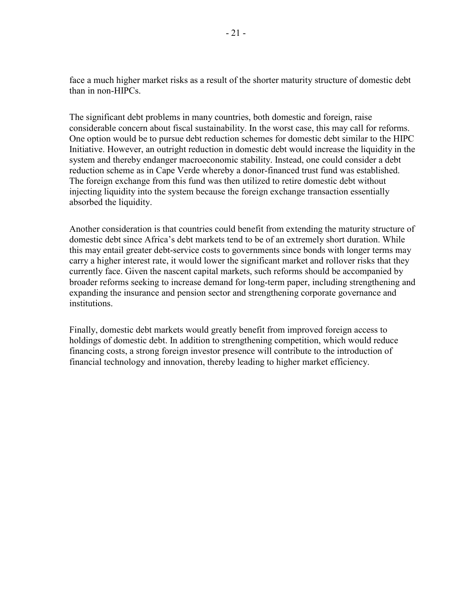face a much higher market risks as a result of the shorter maturity structure of domestic debt than in non-HIPCs.

The significant debt problems in many countries, both domestic and foreign, raise considerable concern about fiscal sustainability. In the worst case, this may call for reforms. One option would be to pursue debt reduction schemes for domestic debt similar to the HIPC Initiative. However, an outright reduction in domestic debt would increase the liquidity in the system and thereby endanger macroeconomic stability. Instead, one could consider a debt reduction scheme as in Cape Verde whereby a donor-financed trust fund was established. The foreign exchange from this fund was then utilized to retire domestic debt without injecting liquidity into the system because the foreign exchange transaction essentially absorbed the liquidity.

Another consideration is that countries could benefit from extending the maturity structure of domestic debt since Africa's debt markets tend to be of an extremely short duration. While this may entail greater debt-service costs to governments since bonds with longer terms may carry a higher interest rate, it would lower the significant market and rollover risks that they currently face. Given the nascent capital markets, such reforms should be accompanied by broader reforms seeking to increase demand for long-term paper, including strengthening and expanding the insurance and pension sector and strengthening corporate governance and institutions.

Finally, domestic debt markets would greatly benefit from improved foreign access to holdings of domestic debt. In addition to strengthening competition, which would reduce financing costs, a strong foreign investor presence will contribute to the introduction of financial technology and innovation, thereby leading to higher market efficiency.